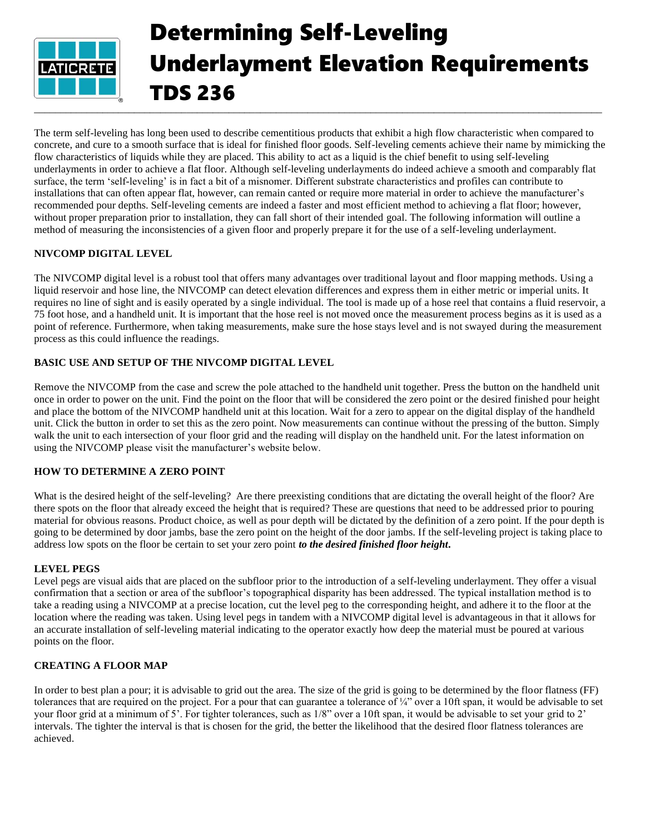

# Determining Self-Leveling Underlayment Elevation Requirements TDS 236

The term self-leveling has long been used to describe cementitious products that exhibit a high flow characteristic when compared to concrete, and cure to a smooth surface that is ideal for finished floor goods. Self-leveling cements achieve their name by mimicking the flow characteristics of liquids while they are placed. This ability to act as a liquid is the chief benefit to using self-leveling underlayments in order to achieve a flat floor. Although self-leveling underlayments do indeed achieve a smooth and comparably flat surface, the term 'self-leveling' is in fact a bit of a misnomer. Different substrate characteristics and profiles can contribute to installations that can often appear flat, however, can remain canted or require more material in order to achieve the manufacturer's recommended pour depths. Self-leveling cements are indeed a faster and most efficient method to achieving a flat floor; however, without proper preparation prior to installation, they can fall short of their intended goal. The following information will outline a method of measuring the inconsistencies of a given floor and properly prepare it for the use of a self-leveling underlayment.

### **NIVCOMP DIGITAL LEVEL**

The NIVCOMP digital level is a robust tool that offers many advantages over traditional layout and floor mapping methods. Using a liquid reservoir and hose line, the NIVCOMP can detect elevation differences and express them in either metric or imperial units. It requires no line of sight and is easily operated by a single individual. The tool is made up of a hose reel that contains a fluid reservoir, a 75 foot hose, and a handheld unit. It is important that the hose reel is not moved once the measurement process begins as it is used as a point of reference. Furthermore, when taking measurements, make sure the hose stays level and is not swayed during the measurement process as this could influence the readings.

### **BASIC USE AND SETUP OF THE NIVCOMP DIGITAL LEVEL**

Remove the NIVCOMP from the case and screw the pole attached to the handheld unit together. Press the button on the handheld unit once in order to power on the unit. Find the point on the floor that will be considered the zero point or the desired finished pour height and place the bottom of the NIVCOMP handheld unit at this location. Wait for a zero to appear on the digital display of the handheld unit. Click the button in order to set this as the zero point. Now measurements can continue without the pressing of the button. Simply walk the unit to each intersection of your floor grid and the reading will display on the handheld unit. For the latest information on using the NIVCOMP please visit the manufacturer's website below.

## **HOW TO DETERMINE A ZERO POINT**

What is the desired height of the self-leveling? Are there preexisting conditions that are dictating the overall height of the floor? Are there spots on the floor that already exceed the height that is required? These are questions that need to be addressed prior to pouring material for obvious reasons. Product choice, as well as pour depth will be dictated by the definition of a zero point. If the pour depth is going to be determined by door jambs, base the zero point on the height of the door jambs. If the self-leveling project is taking place to address low spots on the floor be certain to set your zero point *to the desired finished floor height***.** 

### **LEVEL PEGS**

Level pegs are visual aids that are placed on the subfloor prior to the introduction of a self-leveling underlayment. They offer a visual confirmation that a section or area of the subfloor's topographical disparity has been addressed. The typical installation method is to take a reading using a NIVCOMP at a precise location, cut the level peg to the corresponding height, and adhere it to the floor at the location where the reading was taken. Using level pegs in tandem with a NIVCOMP digital level is advantageous in that it allows for an accurate installation of self-leveling material indicating to the operator exactly how deep the material must be poured at various points on the floor.

### **CREATING A FLOOR MAP**

In order to best plan a pour; it is advisable to grid out the area. The size of the grid is going to be determined by the floor flatness (FF) tolerances that are required on the project. For a pour that can guarantee a tolerance of ¼" over a 10ft span, it would be advisable to set your floor grid at a minimum of 5'. For tighter tolerances, such as 1/8" over a 10ft span, it would be advisable to set your grid to 2' intervals. The tighter the interval is that is chosen for the grid, the better the likelihood that the desired floor flatness tolerances are achieved.